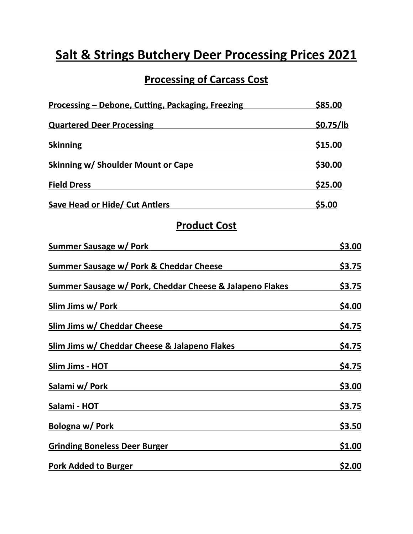## **Salt & Strings Butchery Deer Processing Prices 2021**

## **Processing of Carcass Cost**

| <u> Processing – Debone, Cutting, Packaging, Freezing</u>                                                                         | \$85.00        |
|-----------------------------------------------------------------------------------------------------------------------------------|----------------|
| <b>Quartered Deer Processing</b>                                                                                                  | \$0.75/lb      |
| <b>Skinning</b>                                                                                                                   | \$15.00        |
| <b>Skinning w/ Shoulder Mount or Cape</b>                                                                                         | <u>\$30.00</u> |
| <b>Field Dress</b>                                                                                                                | <u>\$25.00</u> |
| <b>Save Head or Hide/ Cut Antlers</b>                                                                                             | \$5.00         |
| <b>Product Cost</b>                                                                                                               |                |
| <b>Summer Sausage w/ Pork</b>                                                                                                     | \$3.00         |
| <b>Summer Sausage w/ Pork &amp; Cheddar Cheese</b>                                                                                | \$3.75         |
| Summer Sausage w/ Pork, Cheddar Cheese & Jalapeno Flakes                                                                          | \$3.75         |
| Slim Jims w/ Pork                                                                                                                 | \$4.00         |
| $\mathsf{Cl}^1_{\mathsf{max}}$ , $\mathsf{Cl}^1_{\mathsf{max}}$ , $\mathsf{Cl}^1_{\mathsf{max}}$ , $\mathsf{Cl}^1_{\mathsf{max}}$ | 60 JF          |

| <b>Summer Sausage w/ Pork &amp; Cheddar Cheese</b>       | \$3.75 |
|----------------------------------------------------------|--------|
| Summer Sausage w/ Pork, Cheddar Cheese & Jalapeno Flakes | \$3.75 |
| Slim Jims w/ Pork                                        | \$4.00 |
| Slim Jims w/ Cheddar Cheese                              | \$4.75 |
| Slim Jims w/ Cheddar Cheese & Jalapeno Flakes            | \$4.75 |
| Slim Jims - HOT                                          | \$4.75 |
| Salami w/ Pork                                           | \$3.00 |
| Salami - HOT                                             | \$3.75 |
| <b>Bologna w/ Pork</b>                                   | \$3.50 |
| <b>Grinding Boneless Deer Burger</b>                     | \$1.00 |
| <b>Pork Added to Burger</b>                              | \$2.00 |